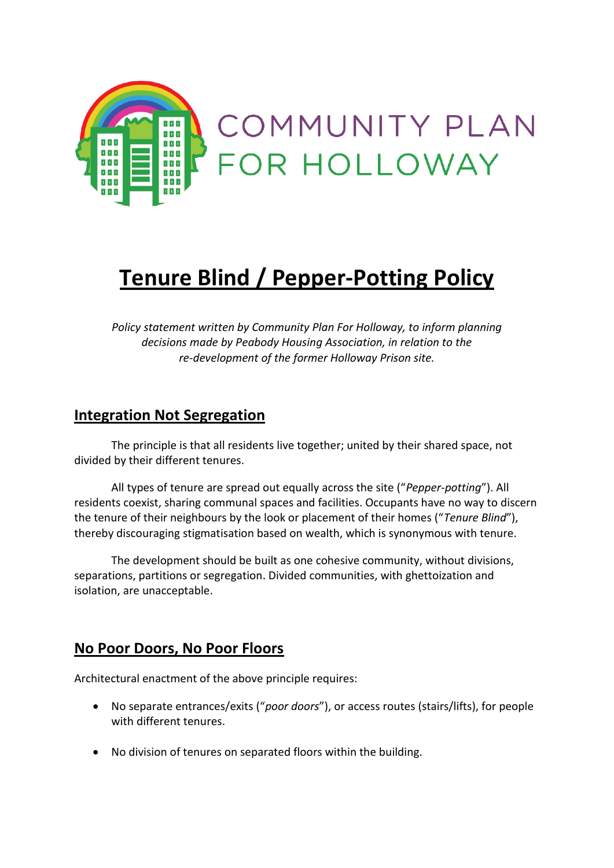

# **Tenure Blind / Pepper-Potting Policy**

*Policy statement written by Community Plan For Holloway, to inform planning decisions made by Peabody Housing Association, in relation to the re-development of the former Holloway Prison site.*

### **Integration Not Segregation**

The principle is that all residents live together; united by their shared space, not divided by their different tenures.

All types of tenure are spread out equally across the site ("*Pepper-potting*"). All residents coexist, sharing communal spaces and facilities. Occupants have no way to discern the tenure of their neighbours by the look or placement of their homes ("*Tenure Blind*"), thereby discouraging stigmatisation based on wealth, which is synonymous with tenure.

The development should be built as one cohesive community, without divisions, separations, partitions or segregation. Divided communities, with ghettoization and isolation, are unacceptable.

#### **No Poor Doors, No Poor Floors**

Architectural enactment of the above principle requires:

- No separate entrances/exits ("*poor doors*"), or access routes (stairs/lifts), for people with different tenures.
- No division of tenures on separated floors within the building.